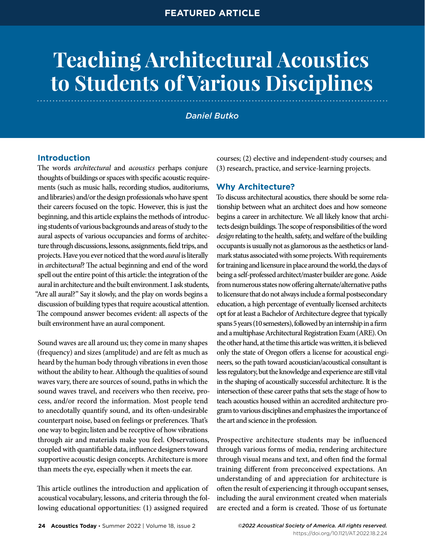# **Teaching Architectural Acoustics to Students of Various Disciplines**

*Daniel Butko*

# **Introduction**

The words *architectural* and *acoustics* perhaps conjure thoughts of buildings or spaces with specific acoustic requirements (such as music halls, recording studios, auditoriums, and libraries) and/or the design professionals who have spent their careers focused on the topic. However, this is just the beginning, and this article explains the methods of introducing students of various backgrounds and areas of study to the aural aspects of various occupancies and forms of architecture through discussions, lessons, assignments, field trips, and projects. Have you ever noticed that the word *aural* is literally in *a*rchitect*ural*? The actual beginning and end of the word spell out the entire point of this article: the integration of the aural in architecture and the built environment. I ask students, "Are all aural?" Say it slowly, and the play on words begins a discussion of building types that require acoustical attention. The compound answer becomes evident: all aspects of the built environment have an aural component.

Sound waves are all around us; they come in many shapes (frequency) and sizes (amplitude) and are felt as much as heard by the human body through vibrations in even those without the ability to hear. Although the qualities of sound waves vary, there are sources of sound, paths in which the sound waves travel, and receivers who then receive, process, and/or record the information. Most people tend to anecdotally quantify sound, and its often-undesirable counterpart noise, based on feelings or preferences. That's one way to begin; listen and be receptive of how vibrations through air and materials make you feel. Observations, coupled with quantifiable data, influence designers toward supportive acoustic design concepts. Architecture is more than meets the eye, especially when it meets the ear.

This article outlines the introduction and application of acoustical vocabulary, lessons, and criteria through the following educational opportunities: (1) assigned required

courses; (2) elective and independent-study courses; and (3) research, practice, and service-learning projects.

# **Why Architecture?**

To discuss architectural acoustics, there should be some relationship between what an architect does and how someone begins a career in architecture. We all likely know that architects design buildings. The scope of responsibilities of the word *design* relating to the health, safety, and welfare of the building occupants is usually not as glamorous as the aesthetics or landmark status associated with some projects. With requirements for training and licensure in place around the world, the days of being a self-professed architect/master builder are gone. Aside from numerous states now offering alternate/alternative paths to licensure that do not always include a formal postsecondary education, a high percentage of eventually licensed architects opt for at least a Bachelor of Architecture degree that typically spans 5 years (10 semesters), followed by an internship in a firm and a multiphase Architectural Registration Exam (ARE). On the other hand, at the time this article was written, it is believed only the state of Oregon offers a license for acoustical engineers, so the path toward acoustician/acoustical consultant is less regulatory, but the knowledge and experience are still vital in the shaping of acoustically successful architecture. It is the intersection of these career paths that sets the stage of how to teach acoustics housed within an accredited architecture program to various disciplines and emphasizes the importance of the art and science in the profession.

Prospective architecture students may be influenced through various forms of media, rendering architecture through visual means and text, and often find the formal training different from preconceived expectations. An understanding of and appreciation for architecture is often the result of experiencing it through occupant senses, including the aural environment created when materials are erected and a form is created. Those of us fortunate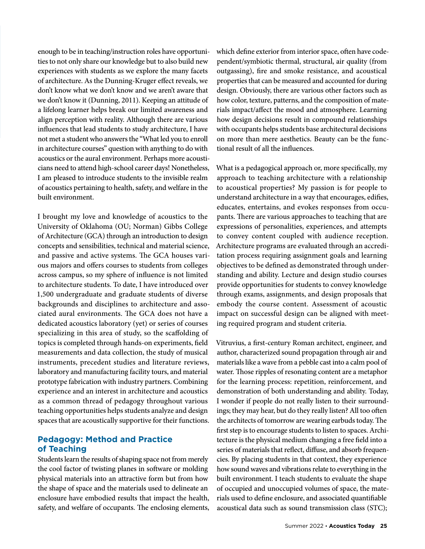enough to be in teaching/instruction roles have opportunities to not only share our knowledge but to also build new experiences with students as we explore the many facets of architecture. As the Dunning-Kruger effect reveals, we don't know what we don't know and we aren't aware that we don't know it (Dunning, 2011). Keeping an attitude of a lifelong learner helps break our limited awareness and align perception with reality. Although there are various influences that lead students to study architecture, I have not met a student who answers the "What led you to enroll in architecture courses" question with anything to do with acoustics or the aural environment. Perhaps more acousticians need to attend high-school career days! Nonetheless, I am pleased to introduce students to the invisible realm of acoustics pertaining to health, safety, and welfare in the built environment.

I brought my love and knowledge of acoustics to the University of Oklahoma (OU; Norman) Gibbs College of Architecture (GCA) through an introduction to design concepts and sensibilities, technical and material science, and passive and active systems. The GCA houses various majors and offers courses to students from colleges across campus, so my sphere of influence is not limited to architecture students. To date, I have introduced over 1,500 undergraduate and graduate students of diverse backgrounds and disciplines to architecture and associated aural environments. The GCA does not have a dedicated acoustics laboratory (yet) or series of courses specializing in this area of study, so the scaffolding of topics is completed through hands-on experiments, field measurements and data collection, the study of musical instruments, precedent studies and literature reviews, laboratory and manufacturing facility tours, and material prototype fabrication with industry partners. Combining experience and an interest in architecture and acoustics as a common thread of pedagogy throughout various teaching opportunities helps students analyze and design spaces that are acoustically supportive for their functions.

# **Pedagogy: Method and Practice of Teaching**

Students learn the results of shaping space not from merely the cool factor of twisting planes in software or molding physical materials into an attractive form but from how the shape of space and the materials used to delineate an enclosure have embodied results that impact the health, safety, and welfare of occupants. The enclosing elements, which define exterior from interior space, often have codependent/symbiotic thermal, structural, air quality (from outgassing), fire and smoke resistance, and acoustical properties that can be measured and accounted for during design. Obviously, there are various other factors such as how color, texture, patterns, and the composition of materials impact/affect the mood and atmosphere. Learning how design decisions result in compound relationships with occupants helps students base architectural decisions on more than mere aesthetics. Beauty can be the functional result of all the influences.

What is a pedagogical approach or, more specifically, my approach to teaching architecture with a relationship to acoustical properties? My passion is for people to understand architecture in a way that encourages, edifies, educates, entertains, and evokes responses from occupants. There are various approaches to teaching that are expressions of personalities, experiences, and attempts to convey content coupled with audience reception. Architecture programs are evaluated through an accreditation process requiring assignment goals and learning objectives to be defined as demonstrated through understanding and ability. Lecture and design studio courses provide opportunities for students to convey knowledge through exams, assignments, and design proposals that embody the course content. Assessment of acoustic impact on successful design can be aligned with meeting required program and student criteria.

Vitruvius, a first-century Roman architect, engineer, and author, characterized sound propagation through air and materials like a wave from a pebble cast into a calm pool of water. Those ripples of resonating content are a metaphor for the learning process: repetition, reinforcement, and demonstration of both understanding and ability. Today, I wonder if people do not really listen to their surroundings; they may hear, but do they really listen? All too often the architects of tomorrow are wearing earbuds today. The first step is to encourage students to listen to spaces. Architecture is the physical medium changing a free field into a series of materials that reflect, diffuse, and absorb frequencies. By placing students in that context, they experience how sound waves and vibrations relate to everything in the built environment. I teach students to evaluate the shape of occupied and unoccupied volumes of space, the materials used to define enclosure, and associated quantifiable acoustical data such as sound transmission class (STC);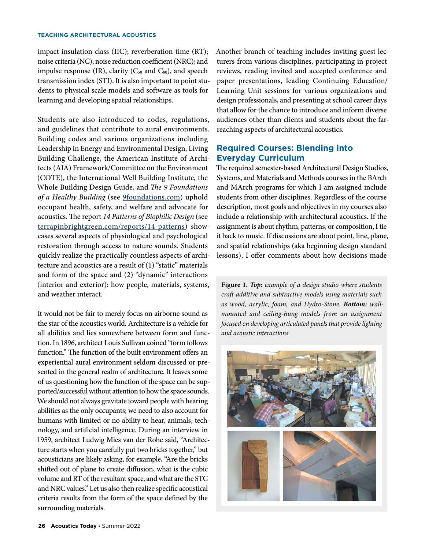impact insulation class (IIC); reverberation time (RT); noise criteria (NC); noise reduction coefficient (NRC); and impulse response (IR), clarity (C<sub>50</sub> and C<sub>80</sub>), and speech transmission index (STI). It is also important to point students to physical scale models and software as tools for learning and developing spatial relationships.

Students are also introduced to codes, regulations, and guidelines that contribute to aural environments. Building codes and various organizations including Leadership in Energy and Environmental Design, Living Building Challenge, the American Institute of Architects (AIA) Framework/Committee on the Environment (COTE), the International Well Building Institute, the Whole Building Design Guide, and *The 9 Foundations*  of a Healthy Building (see **9foundations.com**) uphold occupant health, safety, and welfare and advocate for acoustics. The report *14 Patterns of Biophilic Design* (see [terrapinbrightgreen.com/reports/14-patterns](https://www.terrapinbrightgreen.com/reports/14-patterns/)) showcases several aspects of physiological and psychological restoration through access to nature sounds. Students quickly realize the practically countless aspects of architecture and acoustics are a result of (1) "static" materials and form of the space and (2) "dynamic" interactions (interior and exterior): how people, materials, systems, and weather interact.

It would not be fair to merely focus on airborne sound as the star of the acoustics world. Architecture is a vehicle for all abilities and lies somewhere between form and function. In 1896, architect Louis Sullivan coined "form follows function." The function of the built environment offers an experiential aural environment seldom discussed or presented in the general realm of architecture. It leaves some of us questioning how the function of the space can be supported/successful without attention to how the space sounds. We should not always gravitate toward people with hearing abilities as the only occupants; we need to also account for humans with limited or no ability to hear, animals, technology, and artificial intelligence. During an interview in 1959, architect Ludwig Mies van der Rohe said, "Architecture starts when you carefully put two bricks together," but acousticians are likely asking, for example, "Are the bricks shifted out of plane to create diffusion, what is the cubic volume and RT of the resultant space, and what are the STC and NRC values." Let us also then realize specific acoustical criteria results from the form of the space defined by the surrounding materials.

Another branch of teaching includes inviting guest lecturers from various disciplines, participating in project reviews, reading invited and accepted conference and paper presentations, leading Continuing Education/ Learning Unit sessions for various organizations and design professionals, and presenting at school career days that allow for the chance to introduce and inform diverse audiences other than clients and students about the farreaching aspects of architectural acoustics.

## **Required Courses: Blending into Everyday Curriculum**

The required semester-based Architectural Design Studios, Systems, and Materials and Methods courses in the BArch and MArch programs for which I am assigned include students from other disciplines. Regardless of the course description, most goals and objectives in my courses also include a relationship with architectural acoustics. If the assignment is about rhythm, patterns, or composition, I tie it back to music. If discussions are about point, line, plane, and spatial relationships (aka beginning design standard lessons), I offer comments about how decisions made

**Figure 1.** *Top: example of a design studio where students craft additive and subtractive models using materials such as wood, acrylic, foam, and Hydro-Stone. Bottom: wallmounted and ceiling-hung models from an assignment focused on developing articulated panels that provide lighting and acoustic interactions.* 

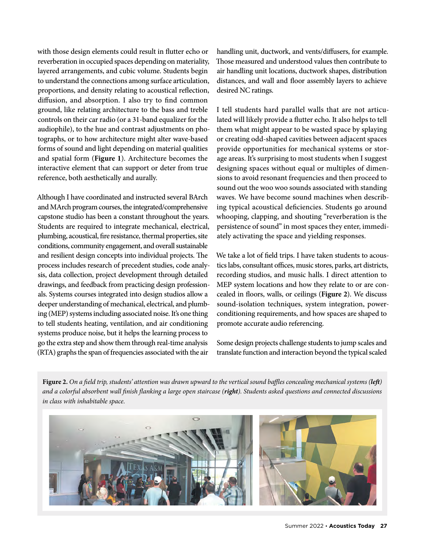with those design elements could result in flutter echo or reverberation in occupied spaces depending on materiality, layered arrangements, and cubic volume. Students begin to understand the connections among surface articulation, proportions, and density relating to acoustical reflection, diffusion, and absorption. I also try to find common ground, like relating architecture to the bass and treble controls on their car radio (or a 31-band equalizer for the audiophile), to the hue and contrast adjustments on photographs, or to how architecture might alter wave-based forms of sound and light depending on material qualities and spatial form (**Figure 1**). Architecture becomes the interactive element that can support or deter from true reference, both aesthetically and aurally.

Although I have coordinated and instructed several BArch and MArch program courses, the integrated/comprehensive capstone studio has been a constant throughout the years. Students are required to integrate mechanical, electrical, plumbing, acoustical, fire resistance, thermal properties, site conditions, community engagement, and overall sustainable and resilient design concepts into individual projects. The process includes research of precedent studies, code analysis, data collection, project development through detailed drawings, and feedback from practicing design professionals. Systems courses integrated into design studios allow a deeper understanding of mechanical, electrical, and plumbing (MEP) systems including associated noise. It's one thing to tell students heating, ventilation, and air conditioning systems produce noise, but it helps the learning process to go the extra step and show them through real-time analysis (RTA) graphs the span of frequencies associated with the air

handling unit, ductwork, and vents/diffusers, for example. Those measured and understood values then contribute to air handling unit locations, ductwork shapes, distribution distances, and wall and floor assembly layers to achieve desired NC ratings.

I tell students hard parallel walls that are not articulated will likely provide a flutter echo. It also helps to tell them what might appear to be wasted space by splaying or creating odd-shaped cavities between adjacent spaces provide opportunities for mechanical systems or storage areas. It's surprising to most students when I suggest designing spaces without equal or multiples of dimensions to avoid resonant frequencies and then proceed to sound out the woo woo sounds associated with standing waves. We have become sound machines when describing typical acoustical deficiencies. Students go around whooping, clapping, and shouting "reverberation is the persistence of sound" in most spaces they enter, immediately activating the space and yielding responses.

We take a lot of field trips. I have taken students to acoustics labs, consultant offices, music stores, parks, art districts, recording studios, and music halls. I direct attention to MEP system locations and how they relate to or are concealed in floors, walls, or ceilings (**Figure 2**). We discuss sound-isolation techniques, system integration, powerconditioning requirements, and how spaces are shaped to promote accurate audio referencing.

Some design projects challenge students to jump scales and translate function and interaction beyond the typical scaled

**Figure 2.** *On a field trip, students' attention was drawn upward to the vertical sound baffles concealing mechanical systems (left) and a colorful absorbent wall finish flanking a large open staircase (right). Students asked questions and connected discussions in class with inhabitable space.*

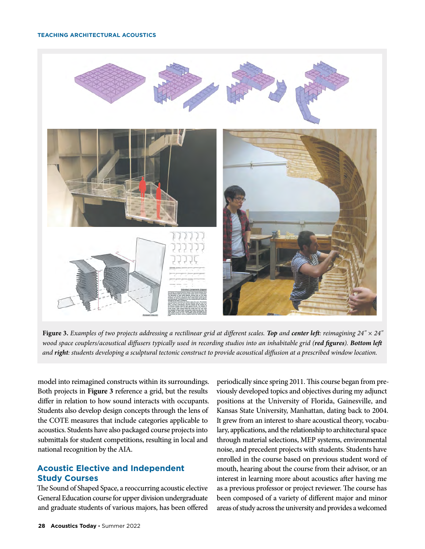

**Figure 3.** *Examples of two projects addressing a rectilinear grid at different scales. Top and center left: reimagining 24" × 24" wood space couplers/acoustical diffusers typically used in recording studios into an inhabitable grid (red figures). Bottom left and right: students developing a sculptural tectonic construct to provide acoustical diffusion at a prescribed window location.*

model into reimagined constructs within its surroundings. Both projects in **Figure 3** reference a grid, but the results differ in relation to how sound interacts with occupants. Students also develop design concepts through the lens of the COTE measures that include categories applicable to acoustics. Students have also packaged course projects into submittals for student competitions, resulting in local and national recognition by the AIA.

# **Acoustic Elective and Independent Study Courses**

The Sound of Shaped Space, a reoccurring acoustic elective General Education course for upper division undergraduate and graduate students of various majors, has been offered periodically since spring 2011. This course began from previously developed topics and objectives during my adjunct positions at the University of Florida, Gainesville, and Kansas State University, Manhattan, dating back to 2004. It grew from an interest to share acoustical theory, vocabulary, applications, and the relationship to architectural space through material selections, MEP systems, environmental noise, and precedent projects with students. Students have enrolled in the course based on previous student word of mouth, hearing about the course from their advisor, or an interest in learning more about acoustics after having me as a previous professor or project reviewer. The course has been composed of a variety of different major and minor areas of study across the university and provides a welcomed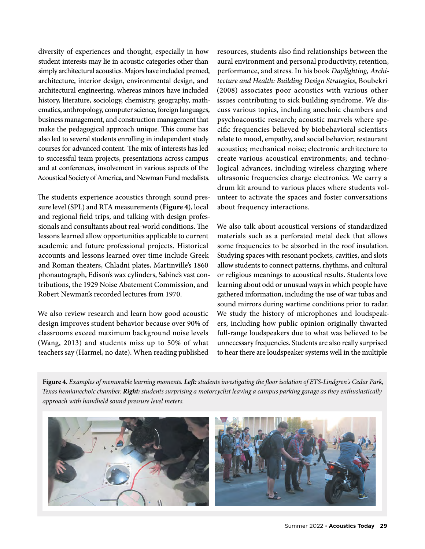diversity of experiences and thought, especially in how student interests may lie in acoustic categories other than simply architectural acoustics. Majors have included premed, architecture, interior design, environmental design, and architectural engineering, whereas minors have included history, literature, sociology, chemistry, geography, mathematics, anthropology, computer science, foreign languages, business management, and construction management that make the pedagogical approach unique. This course has also led to several students enrolling in independent study courses for advanced content. The mix of interests has led to successful team projects, presentations across campus and at conferences, involvement in various aspects of the Acoustical Society of America, and Newman Fund medalists.

The students experience acoustics through sound pressure level (SPL) and RTA measurements (**Figure 4**), local and regional field trips, and talking with design professionals and consultants about real-world conditions. The lessons learned allow opportunities applicable to current academic and future professional projects. Historical accounts and lessons learned over time include Greek and Roman theaters, Chladni plates, Martinville's 1860 phonautograph, Edison's wax cylinders, Sabine's vast contributions, the 1929 Noise Abatement Commission, and Robert Newman's recorded lectures from 1970.

We also review research and learn how good acoustic design improves student behavior because over 90% of classrooms exceed maximum background noise levels (Wang, 2013) and students miss up to 50% of what teachers say (Harmel, no date). When reading published

resources, students also find relationships between the aural environment and personal productivity, retention, performance, and stress. In his book *Daylighting, Architecture and Health: Building Design Strategies*, Boubekri (2008) associates poor acoustics with various other issues contributing to sick building syndrome. We discuss various topics, including anechoic chambers and psychoacoustic research; acoustic marvels where specific frequencies believed by biobehavioral scientists relate to mood, empathy, and social behavior; restaurant acoustics; mechanical noise; electronic architecture to create various acoustical environments; and technological advances, including wireless charging where ultrasonic frequencies charge electronics. We carry a drum kit around to various places where students volunteer to activate the spaces and foster conversations about frequency interactions.

We also talk about acoustical versions of standardized materials such as a perforated metal deck that allows some frequencies to be absorbed in the roof insulation. Studying spaces with resonant pockets, cavities, and slots allow students to connect patterns, rhythms, and cultural or religious meanings to acoustical results. Students love learning about odd or unusual ways in which people have gathered information, including the use of war tubas and sound mirrors during wartime conditions prior to radar. We study the history of microphones and loudspeakers, including how public opinion originally thwarted full-range loudspeakers due to what was believed to be unnecessary frequencies. Students are also really surprised to hear there are loudspeaker systems well in the multiple

**Figure 4.** *Examples of memorable learning moments. Left: students investigating the floor isolation of ETS-Lindgren's Cedar Park, Texas hemianechoic chamber. Right: students surprising a motorcyclist leaving a campus parking garage as they enthusiastically approach with handheld sound pressure level meters.*

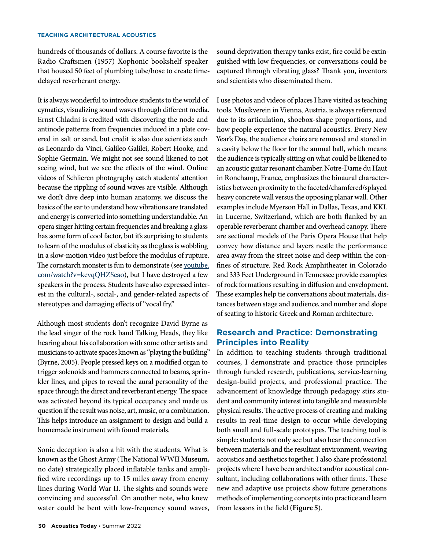hundreds of thousands of dollars. A course favorite is the Radio Craftsmen (1957) Xophonic bookshelf speaker that housed 50 feet of plumbing tube/hose to create timedelayed reverberant energy.

It is always wonderful to introduce students to the world of cymatics, visualizing sound waves through different media. Ernst Chladni is credited with discovering the node and antinode patterns from frequencies induced in a plate covered in salt or sand, but credit is also due scientists such as Leonardo da Vinci, Galileo Galilei, Robert Hooke, and Sophie Germain. We might not see sound likened to not seeing wind, but we see the effects of the wind. Online videos of Schlieren photography catch students' attention because the rippling of sound waves are visible. Although we don't dive deep into human anatomy, we discuss the basics of the ear to understand how vibrations are translated and energy is converted into something understandable. An opera singer hitting certain frequencies and breaking a glass has some form of cool factor, but it's surprising to students to learn of the modulus of elasticity as the glass is wobbling in a slow-motion video just before the modulus of rupture. The cornstarch monster is fun to demonstrate (see [youtube.](https://www.youtube.com/watch?v=kevqQHZSeao) [com/watch?v=kevqQHZSeao\)](https://www.youtube.com/watch?v=kevqQHZSeao), but I have destroyed a few speakers in the process. Students have also expressed interest in the cultural-, social-, and gender-related aspects of stereotypes and damaging effects of "vocal fry."

Although most students don't recognize David Byrne as the lead singer of the rock band Talking Heads, they like hearing about his collaboration with some other artists and musicians to activate spaces known as "playing the building" (Byrne, 2005). People pressed keys on a modified organ to trigger solenoids and hammers connected to beams, sprinkler lines, and pipes to reveal the aural personality of the space through the direct and reverberant energy. The space was activated beyond its typical occupancy and made us question if the result was noise, art, music, or a combination. This helps introduce an assignment to design and build a homemade instrument with found materials.

Sonic deception is also a hit with the students. What is known as the Ghost Army (The National WWII Museum, no date) strategically placed inflatable tanks and amplified wire recordings up to 15 miles away from enemy lines during World War II. The sights and sounds were convincing and successful. On another note, who knew water could be bent with low-frequency sound waves, sound deprivation therapy tanks exist, fire could be extinguished with low frequencies, or conversations could be captured through vibrating glass? Thank you, inventors and scientists who disseminated them.

I use photos and videos of places I have visited as teaching tools. Musikverein in Vienna, Austria, is always referenced due to its articulation, shoebox-shape proportions, and how people experience the natural acoustics. Every New Year's Day, the audience chairs are removed and stored in a cavity below the floor for the annual ball, which means the audience is typically sitting on what could be likened to an acoustic guitar resonant chamber. Notre-Dame du Haut in Ronchamp, France, emphasizes the binaural characteristics between proximity to the faceted/chamfered/splayed heavy concrete wall versus the opposing planar wall. Other examples include Myerson Hall in Dallas, Texas, and KKL in Lucerne, Switzerland, which are both flanked by an operable reverberant chamber and overhead canopy. There are sectional models of the Paris Opera House that help convey how distance and layers nestle the performance area away from the street noise and deep within the confines of structure. Red Rock Amphitheater in Colorado and 333 Feet Underground in Tennessee provide examples of rock formations resulting in diffusion and envelopment. These examples help tie conversations about materials, distances between stage and audience, and number and slope of seating to historic Greek and Roman architecture.

# **Research and Practice: Demonstrating Principles into Reality**

In addition to teaching students through traditional courses, I demonstrate and practice those principles through funded research, publications, service-learning design-build projects, and professional practice. The advancement of knowledge through pedagogy stirs student and community interest into tangible and measurable physical results. The active process of creating and making results in real-time design to occur while developing both small and full-scale prototypes. The teaching tool is simple: students not only see but also hear the connection between materials and the resultant environment, weaving acoustics and aesthetics together. I also share professional projects where I have been architect and/or acoustical consultant, including collaborations with other firms. These new and adaptive use projects show future generations methods of implementing concepts into practice and learn from lessons in the field (**Figure 5**).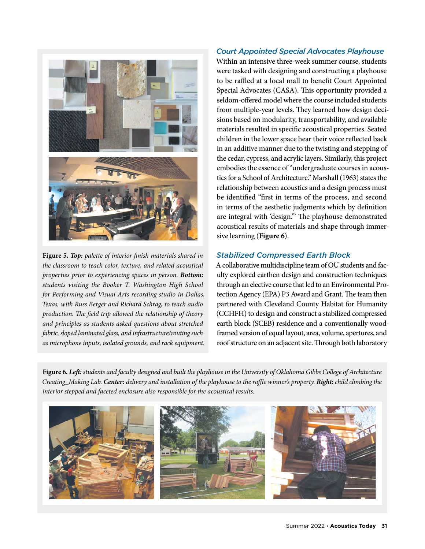

**Figure 5.** *Top: palette of interior finish materials shared in the classroom to teach color, texture, and related acoustical properties prior to experiencing spaces in person. Bottom: students visiting the Booker T. Washington High School for Performing and Visual Arts recording studio in Dallas, Texas, with Russ Berger and Richard Schrag, to teach audio production. The field trip allowed the relationship of theory and principles as students asked questions about stretched fabric, sloped laminated glass, and infrastructure/routing such as microphone inputs, isolated grounds, and rack equipment.* 

## *Court Appointed Special Advocates Playhouse*

Within an intensive three-week summer course, students were tasked with designing and constructing a playhouse to be raffled at a local mall to benefit Court Appointed Special Advocates (CASA). This opportunity provided a seldom-offered model where the course included students from multiple-year levels. They learned how design decisions based on modularity, transportability, and available materials resulted in specific acoustical properties. Seated children in the lower space hear their voice reflected back in an additive manner due to the twisting and stepping of the cedar, cypress, and acrylic layers. Similarly, this project embodies the essence of "undergraduate courses in acoustics for a School of Architecture." Marshall (1963) states the relationship between acoustics and a design process must be identified "first in terms of the process, and second in terms of the aesthetic judgments which by definition are integral with 'design.'" The playhouse demonstrated acoustical results of materials and shape through immersive learning (**Figure 6**).

## *Stabilized Compressed Earth Block*

A collaborative multidiscipline team of OU students and faculty explored earthen design and construction techniques through an elective course that led to an Environmental Protection Agency (EPA) P3 Award and Grant. The team then partnered with Cleveland County Habitat for Humanity (CCHFH) to design and construct a stabilized compressed earth block (SCEB) residence and a conventionally woodframed version of equal layout, area, volume, apertures, and roof structure on an adjacent site. Through both laboratory

**Figure 6.** *Left: students and faculty designed and built the playhouse in the University of Oklahoma Gibbs College of Architecture Creating\_Making Lab. Center: delivery and installation of the playhouse to the raffle winner's property. Right: child climbing the interior stepped and faceted enclosure also responsible for the acoustical results.*

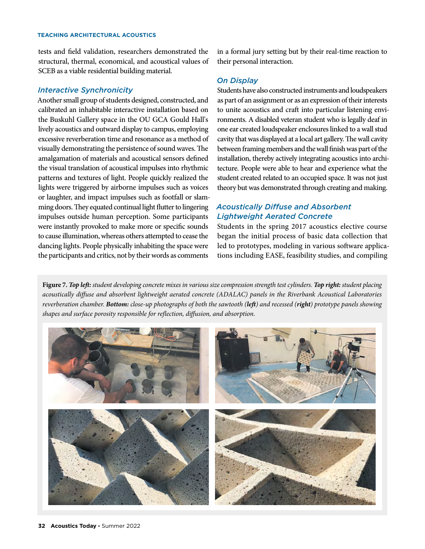tests and field validation, researchers demonstrated the structural, thermal, economical, and acoustical values of SCEB as a viable residential building material.

#### *Interactive Synchronicity*

Another small group of students designed, constructed, and calibrated an inhabitable interactive installation based on the Buskuhl Gallery space in the OU GCA Gould Hall's lively acoustics and outward display to campus, employing excessive reverberation time and resonance as a method of visually demonstrating the persistence of sound waves. The amalgamation of materials and acoustical sensors defined the visual translation of acoustical impulses into rhythmic patterns and textures of light. People quickly realized the lights were triggered by airborne impulses such as voices or laughter, and impact impulses such as footfall or slamming doors. They equated continual light flutter to lingering impulses outside human perception. Some participants were instantly provoked to make more or specific sounds to cause illumination, whereas others attempted to cease the dancing lights. People physically inhabiting the space were the participants and critics, not by their words as comments

in a formal jury setting but by their real-time reaction to their personal interaction.

## *On Display*

Students have also constructed instruments and loudspeakers as part of an assignment or as an expression of their interests to unite acoustics and craft into particular listening environments. A disabled veteran student who is legally deaf in one ear created loudspeaker enclosures linked to a wall stud cavity that was displayed at a local art gallery. The wall cavity between framing members and the wall finish was part of the installation, thereby actively integrating acoustics into architecture. People were able to hear and experience what the student created related to an occupied space. It was not just theory but was demonstrated through creating and making.

# *Acoustically Diffuse and Absorbent Lightweight Aerated Concrete*

Students in the spring 2017 acoustics elective course began the initial process of basic data collection that led to prototypes, modeling in various software applications including EASE, feasibility studies, and compiling

**Figure 7.** *Top left: student developing concrete mixes in various size compression strength test cylinders. Top right: student placing acoustically diffuse and absorbent lightweight aerated concrete (ADALAC) panels in the Riverbank Acoustical Laboratories reverberation chamber. Bottom: close-up photographs of both the sawtooth (left) and recessed (right) prototype panels showing shapes and surface porosity responsible for reflection, diffusion, and absorption.*